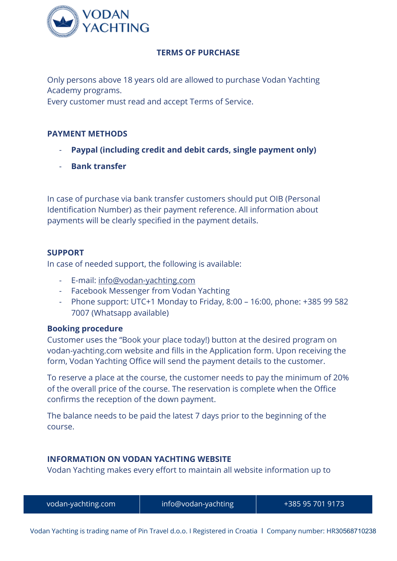

## **TERMS OF PURCHASE**

Only persons above 18 years old are allowed to purchase Vodan Yachting Academy programs.

Every customer must read and accept Terms of Service.

## **PAYMENT METHODS**

- **Paypal (including credit and debit cards, single payment only)**
- **Bank transfer**

In case of purchase via bank transfer customers should put OIB (Personal Identification Number) as their payment reference. All information about payments will be clearly specified in the payment details.

## **SUPPORT**

In case of needed support, the following is available:

- E-mail: [info@vodan-yachting.com](mailto:info@vodan-yachting.com)
- Facebook Messenger from Vodan Yachting
- Phone support: UTC+1 Monday to Friday, 8:00 16:00, phone: +385 99 582 7007 (Whatsapp available)

### **Booking procedure**

Customer uses the "Book your place today!) button at the desired program on vodan-yachting.com website and fills in the Application form. Upon receiving the form, Vodan Yachting Office will send the payment details to the customer.

To reserve a place at the course, the customer needs to pay the minimum of 20% of the overall price of the course. The reservation is complete when the Office confirms the reception of the down payment.

The balance needs to be paid the latest 7 days prior to the beginning of the course.

# **INFORMATION ON VODAN YACHTING WEBSITE**

Vodan Yachting makes every effort to maintain all website information up to

| vodan-yachting.com | info@vodan-yachting | +385 95 701 9173 |
|--------------------|---------------------|------------------|
|                    |                     |                  |

Vodan Yachting is trading name of Pin Travel d.o.o. I Registered in Croatia I Company number: HR30568710238